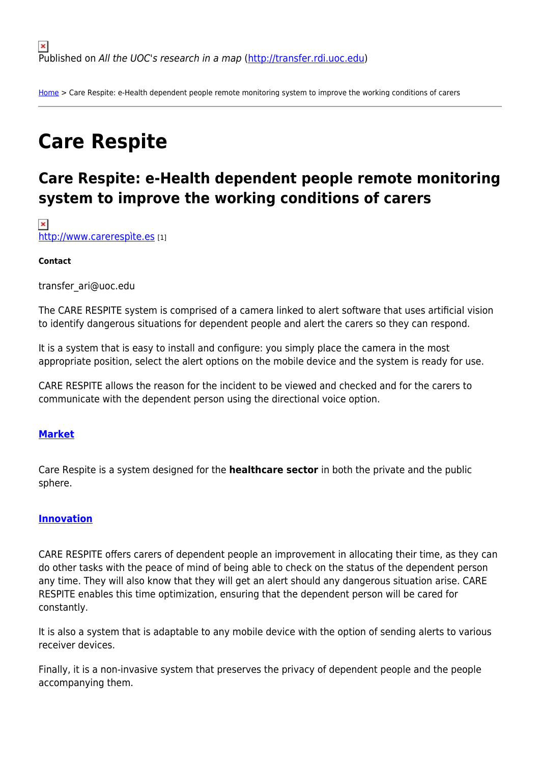[Home](http://transfer.rdi.uoc.edu/en) > Care Respite: e-Health dependent people remote monitoring system to improve the working conditions of carers

# **Care Respite**

# **Care Respite: e-Health dependent people remote monitoring system to improve the working conditions of carers**

 $\pmb{\times}$ <http://www.carerespìte.es> [1]

#### **Contact**

transfer\_ari@uoc.edu

The CARE RESPITE system is comprised of a camera linked to alert software that uses artificial vision to identify dangerous situations for dependent people and alert the carers so they can respond.

It is a system that is easy to install and configure: you simply place the camera in the most appropriate position, select the alert options on the mobile device and the system is ready for use.

CARE RESPITE allows the reason for the incident to be viewed and checked and for the carers to communicate with the dependent person using the directional voice option.

## **[Market](#page--1-0)**

Care Respite is a system designed for the **healthcare sector** in both the private and the public sphere.

#### **[Innovation](#page--1-0)**

CARE RESPITE offers carers of dependent people an improvement in allocating their time, as they can do other tasks with the peace of mind of being able to check on the status of the dependent person any time. They will also know that they will get an alert should any dangerous situation arise. CARE RESPITE enables this time optimization, ensuring that the dependent person will be cared for constantly.

It is also a system that is adaptable to any mobile device with the option of sending alerts to various receiver devices.

Finally, it is a non-invasive system that preserves the privacy of dependent people and the people accompanying them.